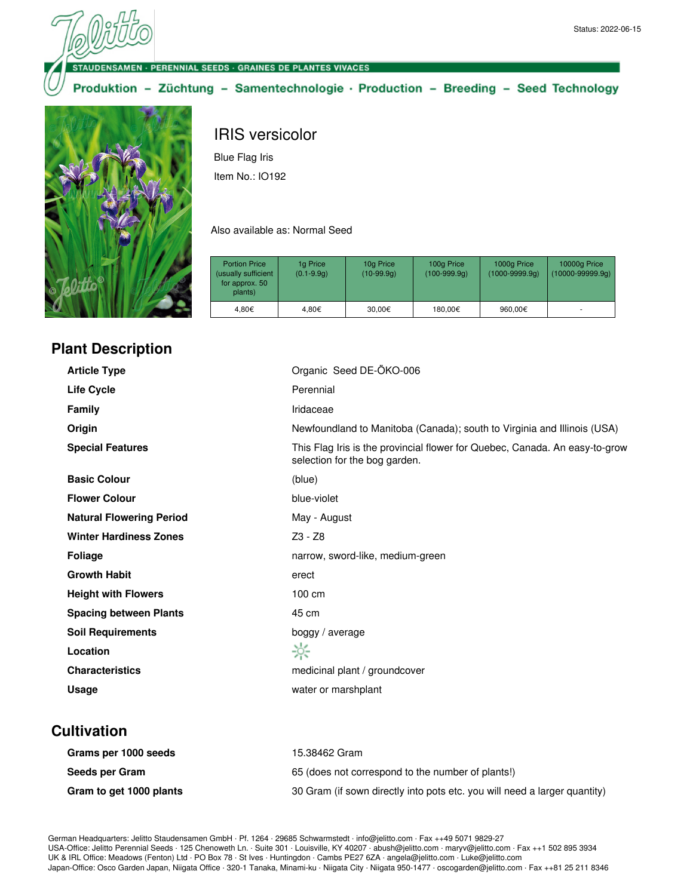**NSAMEN - PERENNIAL SEEDS - GRAINES DE PLANTES VIVACES** 

Produktion - Züchtung - Samentechnologie · Production - Breeding - Seed Technology



# IRIS versicolor Blue Flag Iris

Item No.: IO192

Also available as: Normal Seed

| <b>Portion Price</b><br>(usually sufficient<br>for approx. 50<br>plants) | 1g Price<br>$(0.1 - 9.9q)$ | 10g Price<br>(10-99.9g) | 100g Price<br>$(100-999.9q)$ | 1000g Price<br>$(1000 - 9999.9q)$ | 10000g Price<br>$(10000 - 99999.9q)$ |
|--------------------------------------------------------------------------|----------------------------|-------------------------|------------------------------|-----------------------------------|--------------------------------------|
| 4.80€                                                                    | 4.80€                      | 30.00€                  | 180.00€                      | 960,00€                           |                                      |

## **Plant Description**

| Organic Seed DE-ÖKO-006                                                                                      |
|--------------------------------------------------------------------------------------------------------------|
| Perennial                                                                                                    |
| Iridaceae                                                                                                    |
| Newfoundland to Manitoba (Canada); south to Virginia and Illinois (USA)                                      |
| This Flag Iris is the provincial flower for Quebec, Canada. An easy-to-grow<br>selection for the bog garden. |
| (blue)                                                                                                       |
| blue-violet                                                                                                  |
| May - August                                                                                                 |
| $Z3 - Z8$                                                                                                    |
| narrow, sword-like, medium-green                                                                             |
| erect                                                                                                        |
| 100 cm                                                                                                       |
| 45 cm                                                                                                        |
| boggy / average                                                                                              |
| ☆                                                                                                            |
| medicinal plant / groundcover                                                                                |
| water or marshplant                                                                                          |
|                                                                                                              |

### **Cultivation**

| Grams per 1000 seeds    | 15.38462 Gram                                                             |
|-------------------------|---------------------------------------------------------------------------|
| Seeds per Gram          | 65 (does not correspond to the number of plants!)                         |
| Gram to get 1000 plants | 30 Gram (if sown directly into pots etc. you will need a larger quantity) |